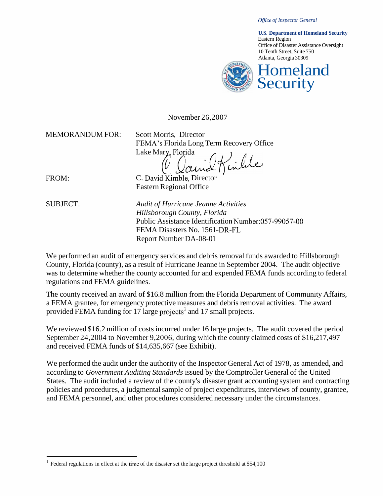*Office of Inspector General* 



November 26,2007

MEMORANDUM FOR: Scott Morris, Director

FEMA's Florida Long Term Recovery Office Scott Morris, Director<br>FEMA's Florida Long Term Recover<br>Lake Mary, Florida<br> $\bigcap_{n=0}^{\infty}$ 

FROM:

C. David Kimble, Director Eastern Regional Office

SUBJECT.

*Audit of Hurricane Jeanne Activities Hillsborough County, Florida*  Public Assistance Identification Number:057-99057-00 FEMA Disasters No. 1561-DR-FL Report Number DA-08-01

We performed an audit of emergency services and debris removal funds awarded to Hillsborough County, Florida (county), as a result of Hurricane Jeanne in September 2004. The audit objective was to determine whether the county accounted for and expended FEMA funds according to federal regulations and FEMA guidelines.

The county received an award of \$16.8 million from the Florida Department of Community Affairs, a FEMA grantee, for emergency protective measures and debris removal activities. The award provided FEMA funding for 17 large projects<sup>1</sup> and 17 small projects.

We reviewed \$16.2 million of costs incurred under 16 large projects. The audit covered the period September 24,2004 to November 9,2006, during which the county claimed costs of \$16,217,497 and received FEMA funds of \$14,635,667 (see Exhibit).

We performed the audit under the authority of the Inspector General Act of 1978, as amended, and according to *Government Auditing Standards* issued by the Comptroller General of the United States. The audit included a review of the county's disaster grant accounting system and contracting policies and procedures, a judgmental sample of project expenditures, interviews of county, grantee, and FEMA personnel, and other procedures considered necessary under the circumstances.

<sup>&</sup>lt;sup>1</sup> Federal regulations in effect at the time of the disaster set the large project threshold at \$54,100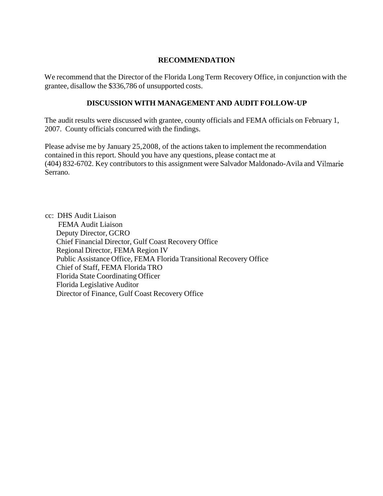## **RECOMMENDATION**

We recommend that the Director of the Florida Long Term Recovery Office, in conjunction with the grantee, disallow the \$336,786 of unsupported costs.

## **DISCUSSION WITH MANAGEMENT AND AUDIT FOLLOW-UP**

The audit results were discussed with grantee, county officials and FEMA officials on February 1, 2007. County officials concurred with the findings.

Please advise me by January 25,2008, of the actions taken to implement the recommendation contained in this report. Should you have any questions, please contact me at (404) 832-6702. Key contributors to this assignment were Salvador Maldonado-Avila and Vilmarie Serrano.

cc: DHS Audit Liaison FEMA Audit Liaison Deputy Director, GCRO Chief Financial Director, Gulf Coast Recovery Office Regional Director, FEMA Region IV Public Assistance Office, FEMA Florida Transitional Recovery Office Chief of Staff, FEMA Florida TRO Florida State Coordinating Officer Florida Legislative Auditor Director of Finance, Gulf Coast Recovery Office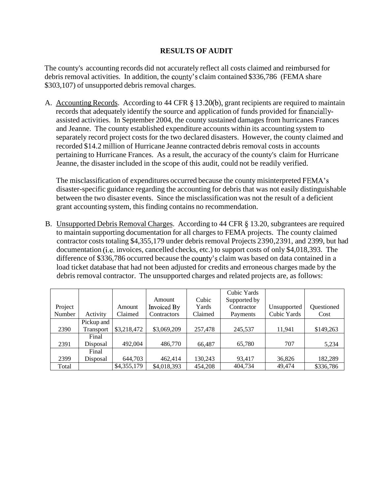## **RESULTS OF AUDIT**

The county's accounting records did not accurately reflect all costs claimed and reimbursed for debris removal activities. In addition, the county's claim contained \$336,786 (FEMA share \$303,107) of unsupported debris removal charges.

A. Accounting Records. According to 44 CFR **9** 13.20(b), grant recipients are required to maintain records that adequately identify the source and application of funds provided for financiallyassisted activities. In September 2004, the county sustained damages from hurricanes Frances and Jeanne. The county established expenditure accounts within its accounting system to separately record project costs for the two declared disasters. However, the county claimed and recorded \$14.2 million of Hurricane Jeanne contracted debris removal costs in accounts pertaining to Hurricane Frances. As a result, the accuracy of the county's claim for Hurricane Jeanne, the disaster included in the scope of this audit, could not be readily verified.

The misclassification of expenditures occurred because the county misinterpreted FEMA's disaster-specific guidance regarding the accounting for debris that was not easily distinguishable between the two disaster events. Since the misclassification was not the result of a deficient grant accounting system, this finding contains no recommendation.

B. Unsupported Debris Removal Charges. According to 44 CFR **5** 13.20, subgrantees are required to maintain supporting documentation for all charges to FEMA projects. The county claimed contractor costs totaling \$4,355,179 under debris removal Projects 2390,239 1, and 2399, but had documentation (i.e. invoices, cancelled checks, etc.) to support costs of only \$4,018,393. The difference of \$336,786 occurred because the county's claim was based on data contained in a load ticket database that had not been adjusted for credits and erroneous charges made by the debris removal contractor. The unsupported charges and related projects are, as follows:

|         |            |             |             |         | Cubic Yards  |             |            |
|---------|------------|-------------|-------------|---------|--------------|-------------|------------|
|         |            |             | Amount      | Cubic   | Supported by |             |            |
| Project |            | Amount      | Invoiced By | Yards   | Contractor   | Unsupported | Questioned |
| Number  | Activity   | Claimed     | Contractors | Claimed | Payments     | Cubic Yards | Cost       |
|         | Pickup and |             |             |         |              |             |            |
| 2390    | Transport  | \$3,218,472 | \$3,069,209 | 257,478 | 245,537      | 11,941      | \$149,263  |
|         | Final      |             |             |         |              |             |            |
| 2391    | Disposal   | 492,004     | 486,770     | 66,487  | 65,780       | 707         | 5,234      |
|         | Final      |             |             |         |              |             |            |
| 2399    | Disposal   | 644,703     | 462,414     | 130,243 | 93,417       | 36,826      | 182,289    |
| Total   |            | \$4,355,179 | \$4,018,393 | 454,208 | 404,734      | 49,474      | \$336,786  |